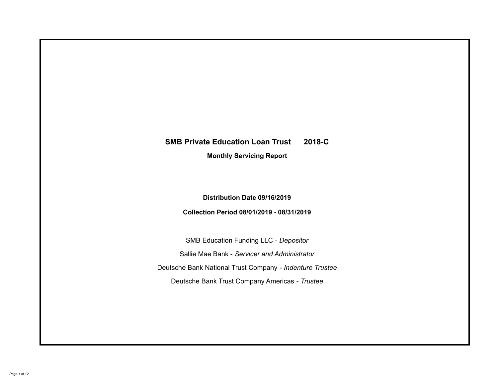# **SMB Private Education Loan Trust 2018-C Monthly Servicing Report**

## **Distribution Date 09/16/2019**

## **Collection Period 08/01/2019 - 08/31/2019**

SMB Education Funding LLC - *Depositor* Sallie Mae Bank - *Servicer and Administrator* Deutsche Bank National Trust Company - *Indenture Trustee* Deutsche Bank Trust Company Americas - *Trustee*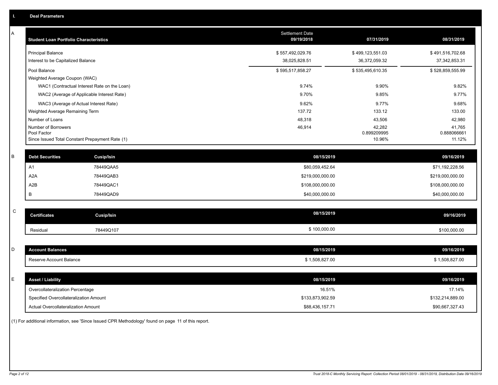| Α | <b>Student Loan Portfolio Characteristics</b>                                         |                                              | <b>Settlement Date</b><br>09/19/2018 | 07/31/2019                        | 08/31/2019                           |
|---|---------------------------------------------------------------------------------------|----------------------------------------------|--------------------------------------|-----------------------------------|--------------------------------------|
|   | <b>Principal Balance</b><br>Interest to be Capitalized Balance                        |                                              | \$557,492,029.76<br>38,025,828.51    | \$499,123,551.03<br>36,372,059.32 | \$491,516,702.68<br>37, 342, 853. 31 |
|   | Pool Balance<br>Weighted Average Coupon (WAC)                                         |                                              | \$595,517,858.27                     | \$535,495,610.35                  | \$528,859,555.99                     |
|   |                                                                                       | WAC1 (Contractual Interest Rate on the Loan) | 9.74%                                | 9.90%                             | 9.82%                                |
|   | WAC2 (Average of Applicable Interest Rate)                                            |                                              | 9.70%                                | 9.85%                             | 9.77%                                |
|   | WAC3 (Average of Actual Interest Rate)                                                |                                              | 9.62%                                | 9.77%                             | 9.68%                                |
|   | Weighted Average Remaining Term                                                       |                                              | 137.72                               | 133.12                            | 133.00                               |
|   | Number of Loans                                                                       |                                              | 48,318                               | 43,506                            | 42,980                               |
|   | Number of Borrowers<br>Pool Factor<br>Since Issued Total Constant Prepayment Rate (1) |                                              | 46,914                               | 42,282<br>0.899209995<br>10.96%   | 41,765<br>0.888066661<br>11.12%      |
|   |                                                                                       |                                              |                                      |                                   |                                      |
| В | <b>Debt Securities</b>                                                                | <b>Cusip/Isin</b>                            | 08/15/2019                           |                                   | 09/16/2019                           |
|   | A <sub>1</sub>                                                                        | 78449QAA5                                    | \$80,059,452.64                      |                                   | \$71,192,228.56                      |
|   | A <sub>2</sub> A                                                                      | 78449QAB3                                    | \$219,000,000.00                     |                                   | \$219,000,000.00                     |
|   | A <sub>2</sub> B                                                                      | 78449QAC1                                    | \$108,000,000.00                     |                                   | \$108,000,000.00                     |
|   | B                                                                                     | 78449QAD9                                    | \$40,000,000.00                      |                                   | \$40,000,000.00                      |
|   |                                                                                       |                                              |                                      |                                   |                                      |
| C | <b>Certificates</b>                                                                   | Cusip/Isin                                   | 08/15/2019                           |                                   | 09/16/2019                           |
|   | Residual                                                                              | 78449Q107                                    | \$100,000.00                         |                                   | \$100,000.00                         |
|   |                                                                                       |                                              |                                      |                                   |                                      |
| D | <b>Account Balances</b>                                                               |                                              | 08/15/2019                           |                                   | 09/16/2019                           |
|   | Reserve Account Balance                                                               |                                              | \$1,508,827.00                       |                                   | \$1,508,827.00                       |
|   |                                                                                       |                                              |                                      |                                   |                                      |
| Е | <b>Asset / Liability</b>                                                              |                                              | 08/15/2019                           |                                   | 09/16/2019                           |
|   | Overcollateralization Percentage                                                      |                                              | 16.51%                               |                                   | 17.14%                               |
|   | Specified Overcollateralization Amount                                                |                                              | \$133,873,902.59                     |                                   | \$132,214,889.00                     |
|   | <b>Actual Overcollateralization Amount</b>                                            |                                              | \$88,436,157.71                      |                                   | \$90,667,327.43                      |

(1) For additional information, see 'Since Issued CPR Methodology' found on page 11 of this report.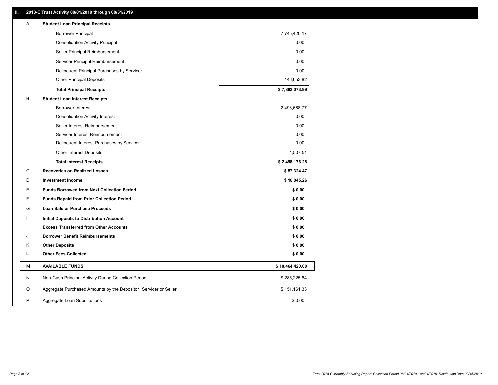### **II. 2018-C Trust Activity 08/01/2019 through 08/31/2019**

| <b>Borrower Principal</b><br>7,745,420.17<br>0.00<br><b>Consolidation Activity Principal</b><br>Seller Principal Reimbursement<br>0.00<br>Servicer Principal Reimbursement<br>0.00<br>0.00<br>Delinquent Principal Purchases by Servicer<br><b>Other Principal Deposits</b><br>146,653.82<br>\$7,892,073.99<br><b>Total Principal Receipts</b><br>В<br><b>Student Loan Interest Receipts</b><br>2,493,668.77<br><b>Borrower Interest</b><br>0.00<br><b>Consolidation Activity Interest</b><br>Seller Interest Reimbursement<br>0.00<br>0.00<br>Servicer Interest Reimbursement<br>Delinquent Interest Purchases by Servicer<br>0.00<br>Other Interest Deposits<br>4,507.51<br>\$2,498,176.28<br><b>Total Interest Receipts</b><br>C<br><b>Recoveries on Realized Losses</b><br>\$57,324.47<br>D<br><b>Investment Income</b><br>\$16,845.26<br>Е<br><b>Funds Borrowed from Next Collection Period</b><br>\$0.00<br>F<br>\$0.00<br><b>Funds Repaid from Prior Collection Period</b><br>G<br>\$0.00<br>Loan Sale or Purchase Proceeds<br>\$0.00<br>н<br>Initial Deposits to Distribution Account<br>\$0.00<br><b>Excess Transferred from Other Accounts</b><br>J<br><b>Borrower Benefit Reimbursements</b><br>\$0.00<br>Κ<br><b>Other Deposits</b><br>\$0.00<br>L<br><b>Other Fees Collected</b><br>\$0.00<br>М<br><b>AVAILABLE FUNDS</b><br>\$10,464,420.00<br>N<br>Non-Cash Principal Activity During Collection Period<br>\$285,225.64 | A | <b>Student Loan Principal Receipts</b>                           |              |  |
|----------------------------------------------------------------------------------------------------------------------------------------------------------------------------------------------------------------------------------------------------------------------------------------------------------------------------------------------------------------------------------------------------------------------------------------------------------------------------------------------------------------------------------------------------------------------------------------------------------------------------------------------------------------------------------------------------------------------------------------------------------------------------------------------------------------------------------------------------------------------------------------------------------------------------------------------------------------------------------------------------------------------------------------------------------------------------------------------------------------------------------------------------------------------------------------------------------------------------------------------------------------------------------------------------------------------------------------------------------------------------------------------------------------------------------------|---|------------------------------------------------------------------|--------------|--|
|                                                                                                                                                                                                                                                                                                                                                                                                                                                                                                                                                                                                                                                                                                                                                                                                                                                                                                                                                                                                                                                                                                                                                                                                                                                                                                                                                                                                                                        |   |                                                                  |              |  |
|                                                                                                                                                                                                                                                                                                                                                                                                                                                                                                                                                                                                                                                                                                                                                                                                                                                                                                                                                                                                                                                                                                                                                                                                                                                                                                                                                                                                                                        |   |                                                                  |              |  |
|                                                                                                                                                                                                                                                                                                                                                                                                                                                                                                                                                                                                                                                                                                                                                                                                                                                                                                                                                                                                                                                                                                                                                                                                                                                                                                                                                                                                                                        |   |                                                                  |              |  |
|                                                                                                                                                                                                                                                                                                                                                                                                                                                                                                                                                                                                                                                                                                                                                                                                                                                                                                                                                                                                                                                                                                                                                                                                                                                                                                                                                                                                                                        |   |                                                                  |              |  |
|                                                                                                                                                                                                                                                                                                                                                                                                                                                                                                                                                                                                                                                                                                                                                                                                                                                                                                                                                                                                                                                                                                                                                                                                                                                                                                                                                                                                                                        |   |                                                                  |              |  |
|                                                                                                                                                                                                                                                                                                                                                                                                                                                                                                                                                                                                                                                                                                                                                                                                                                                                                                                                                                                                                                                                                                                                                                                                                                                                                                                                                                                                                                        |   |                                                                  |              |  |
|                                                                                                                                                                                                                                                                                                                                                                                                                                                                                                                                                                                                                                                                                                                                                                                                                                                                                                                                                                                                                                                                                                                                                                                                                                                                                                                                                                                                                                        |   |                                                                  |              |  |
|                                                                                                                                                                                                                                                                                                                                                                                                                                                                                                                                                                                                                                                                                                                                                                                                                                                                                                                                                                                                                                                                                                                                                                                                                                                                                                                                                                                                                                        |   |                                                                  |              |  |
|                                                                                                                                                                                                                                                                                                                                                                                                                                                                                                                                                                                                                                                                                                                                                                                                                                                                                                                                                                                                                                                                                                                                                                                                                                                                                                                                                                                                                                        |   |                                                                  |              |  |
|                                                                                                                                                                                                                                                                                                                                                                                                                                                                                                                                                                                                                                                                                                                                                                                                                                                                                                                                                                                                                                                                                                                                                                                                                                                                                                                                                                                                                                        |   |                                                                  |              |  |
|                                                                                                                                                                                                                                                                                                                                                                                                                                                                                                                                                                                                                                                                                                                                                                                                                                                                                                                                                                                                                                                                                                                                                                                                                                                                                                                                                                                                                                        |   |                                                                  |              |  |
|                                                                                                                                                                                                                                                                                                                                                                                                                                                                                                                                                                                                                                                                                                                                                                                                                                                                                                                                                                                                                                                                                                                                                                                                                                                                                                                                                                                                                                        |   |                                                                  |              |  |
|                                                                                                                                                                                                                                                                                                                                                                                                                                                                                                                                                                                                                                                                                                                                                                                                                                                                                                                                                                                                                                                                                                                                                                                                                                                                                                                                                                                                                                        |   |                                                                  |              |  |
|                                                                                                                                                                                                                                                                                                                                                                                                                                                                                                                                                                                                                                                                                                                                                                                                                                                                                                                                                                                                                                                                                                                                                                                                                                                                                                                                                                                                                                        |   |                                                                  |              |  |
|                                                                                                                                                                                                                                                                                                                                                                                                                                                                                                                                                                                                                                                                                                                                                                                                                                                                                                                                                                                                                                                                                                                                                                                                                                                                                                                                                                                                                                        |   |                                                                  |              |  |
|                                                                                                                                                                                                                                                                                                                                                                                                                                                                                                                                                                                                                                                                                                                                                                                                                                                                                                                                                                                                                                                                                                                                                                                                                                                                                                                                                                                                                                        |   |                                                                  |              |  |
|                                                                                                                                                                                                                                                                                                                                                                                                                                                                                                                                                                                                                                                                                                                                                                                                                                                                                                                                                                                                                                                                                                                                                                                                                                                                                                                                                                                                                                        |   |                                                                  |              |  |
|                                                                                                                                                                                                                                                                                                                                                                                                                                                                                                                                                                                                                                                                                                                                                                                                                                                                                                                                                                                                                                                                                                                                                                                                                                                                                                                                                                                                                                        |   |                                                                  |              |  |
|                                                                                                                                                                                                                                                                                                                                                                                                                                                                                                                                                                                                                                                                                                                                                                                                                                                                                                                                                                                                                                                                                                                                                                                                                                                                                                                                                                                                                                        |   |                                                                  |              |  |
|                                                                                                                                                                                                                                                                                                                                                                                                                                                                                                                                                                                                                                                                                                                                                                                                                                                                                                                                                                                                                                                                                                                                                                                                                                                                                                                                                                                                                                        |   |                                                                  |              |  |
|                                                                                                                                                                                                                                                                                                                                                                                                                                                                                                                                                                                                                                                                                                                                                                                                                                                                                                                                                                                                                                                                                                                                                                                                                                                                                                                                                                                                                                        |   |                                                                  |              |  |
|                                                                                                                                                                                                                                                                                                                                                                                                                                                                                                                                                                                                                                                                                                                                                                                                                                                                                                                                                                                                                                                                                                                                                                                                                                                                                                                                                                                                                                        |   |                                                                  |              |  |
|                                                                                                                                                                                                                                                                                                                                                                                                                                                                                                                                                                                                                                                                                                                                                                                                                                                                                                                                                                                                                                                                                                                                                                                                                                                                                                                                                                                                                                        |   |                                                                  |              |  |
|                                                                                                                                                                                                                                                                                                                                                                                                                                                                                                                                                                                                                                                                                                                                                                                                                                                                                                                                                                                                                                                                                                                                                                                                                                                                                                                                                                                                                                        |   |                                                                  |              |  |
|                                                                                                                                                                                                                                                                                                                                                                                                                                                                                                                                                                                                                                                                                                                                                                                                                                                                                                                                                                                                                                                                                                                                                                                                                                                                                                                                                                                                                                        |   |                                                                  |              |  |
|                                                                                                                                                                                                                                                                                                                                                                                                                                                                                                                                                                                                                                                                                                                                                                                                                                                                                                                                                                                                                                                                                                                                                                                                                                                                                                                                                                                                                                        |   |                                                                  |              |  |
|                                                                                                                                                                                                                                                                                                                                                                                                                                                                                                                                                                                                                                                                                                                                                                                                                                                                                                                                                                                                                                                                                                                                                                                                                                                                                                                                                                                                                                        |   |                                                                  |              |  |
|                                                                                                                                                                                                                                                                                                                                                                                                                                                                                                                                                                                                                                                                                                                                                                                                                                                                                                                                                                                                                                                                                                                                                                                                                                                                                                                                                                                                                                        | O | Aggregate Purchased Amounts by the Depositor, Servicer or Seller | \$151,161.33 |  |
| P<br>\$0.00<br>Aggregate Loan Substitutions                                                                                                                                                                                                                                                                                                                                                                                                                                                                                                                                                                                                                                                                                                                                                                                                                                                                                                                                                                                                                                                                                                                                                                                                                                                                                                                                                                                            |   |                                                                  |              |  |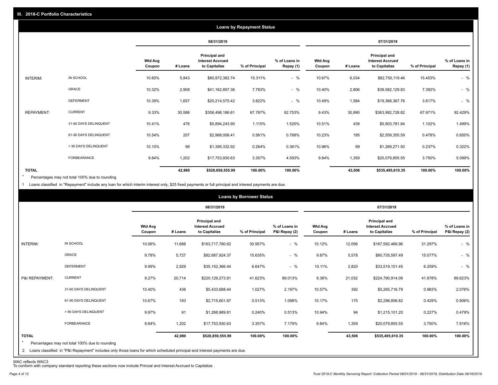|                   |                       |                          |         |                                                                  | <b>Loans by Repayment Status</b> |                            |                          |         |                                                           |                |                            |
|-------------------|-----------------------|--------------------------|---------|------------------------------------------------------------------|----------------------------------|----------------------------|--------------------------|---------|-----------------------------------------------------------|----------------|----------------------------|
|                   |                       |                          |         | 08/31/2019                                                       |                                  |                            |                          |         | 07/31/2019                                                |                |                            |
|                   |                       | <b>Wtd Avg</b><br>Coupon | # Loans | <b>Principal and</b><br><b>Interest Accrued</b><br>to Capitalize | % of Principal                   | % of Loans in<br>Repay (1) | <b>Wtd Avg</b><br>Coupon | # Loans | Principal and<br><b>Interest Accrued</b><br>to Capitalize | % of Principal | % of Loans in<br>Repay (1) |
| INTERIM:          | IN SCHOOL             | 10.60%                   | 5,843   | \$80,972,382.74                                                  | 15.311%                          | $-$ %                      | 10.67%                   | 6,034   | \$82,750,119.46                                           | 15.453%        | $-$ %                      |
|                   | <b>GRACE</b>          | 10.32%                   | 2,908   | \$41,162,897.36                                                  | 7.783%                           | $-$ %                      | 10.40%                   | 2,806   | \$39,582,129.83                                           | 7.392%         | $-$ %                      |
|                   | <b>DEFERMENT</b>      | 10.39%                   | 1,657   | \$20,214,575.42                                                  | 3.822%                           | $-$ %                      | 10.49%                   | 1,584   | \$19,368,367.76                                           | 3.617%         | $-$ %                      |
| <b>REPAYMENT:</b> | <b>CURRENT</b>        | 9.33%                    | 30,588  | \$358,498,186.61                                                 | 67.787%                          | 92.753%                    | 9.43%                    | 30,990  | \$363,982,728.82                                          | 67.971%        | 92.429%                    |
|                   | 31-60 DAYS DELINQUENT | 10.41%                   | 476     | \$5,894,243.90                                                   | 1.115%                           | 1.525%                     | 10.51%                   | 439     | \$5,903,781.84                                            | 1.102%         | 1.499%                     |
|                   | 61-90 DAYS DELINQUENT | 10.54%                   | 207     | \$2,968,006.41                                                   | 0.561%                           | 0.768%                     | 10.23%                   | 195     | \$2,559,355.59                                            | 0.478%         | 0.650%                     |
|                   | > 90 DAYS DELINQUENT  | 10.10%                   | 99      | \$1,395,332.92                                                   | 0.264%                           | 0.361%                     | 10.96%                   | 99      | \$1,269,271.50                                            | 0.237%         | 0.322%                     |
|                   | FORBEARANCE           | 9.84%                    | 1,202   | \$17,753,930.63                                                  | 3.357%                           | 4.593%                     | 9.84%                    | 1,359   | \$20,079,855.55                                           | 3.750%         | 5.099%                     |
| <b>TOTAL</b>      |                       |                          | 42,980  | \$528,859,555.99                                                 | 100.00%                          | 100.00%                    |                          | 43,506  | \$535,495,610.35                                          | 100.00%        | 100.00%                    |

Percentages may not total 100% due to rounding  $\star$ 

1 Loans classified in "Repayment" include any loan for which interim interest only, \$25 fixed payments or full principal and interest payments are due.

|                                |                                                                                                                                                                              |                          |         |                                                                  | <b>Loans by Borrower Status</b> |                                |                          |         |                                                                  |                |                                |
|--------------------------------|------------------------------------------------------------------------------------------------------------------------------------------------------------------------------|--------------------------|---------|------------------------------------------------------------------|---------------------------------|--------------------------------|--------------------------|---------|------------------------------------------------------------------|----------------|--------------------------------|
|                                |                                                                                                                                                                              |                          |         | 08/31/2019                                                       |                                 |                                |                          |         | 07/31/2019                                                       |                |                                |
|                                |                                                                                                                                                                              | <b>Wtd Avg</b><br>Coupon | # Loans | <b>Principal and</b><br><b>Interest Accrued</b><br>to Capitalize | % of Principal                  | % of Loans in<br>P&I Repay (2) | <b>Wtd Avg</b><br>Coupon | # Loans | <b>Principal and</b><br><b>Interest Accrued</b><br>to Capitalize | % of Principal | % of Loans in<br>P&I Repay (2) |
| INTERIM:                       | IN SCHOOL                                                                                                                                                                    | 10.06%                   | 11,688  | \$163,717,780.62                                                 | 30.957%                         | $-$ %                          | 10.12%                   | 12,056  | \$167,592,466.96                                                 | 31.297%        | $-$ %                          |
|                                | <b>GRACE</b>                                                                                                                                                                 | 9.78%                    | 5,727   | \$82,687,924.37                                                  | 15.635%                         | $-$ %                          | 9.87%                    | 5,578   | \$80,735,597.49                                                  | 15.077%        | $-$ %                          |
|                                | <b>DEFERMENT</b>                                                                                                                                                             | 9.99%                    | 2,929   | \$35,152,366.44                                                  | 6.647%                          | $-$ %                          | 10.11%                   | 2,820   | \$33,519,101.45                                                  | 6.259%         | $-$ %                          |
| P&I REPAYMENT:                 | <b>CURRENT</b>                                                                                                                                                               | 9.27%                    | 20,714  | \$220,129,273.81                                                 | 41.623%                         | 89.013%                        | 9.38%                    | 21,032  | \$224,790,914.09                                                 | 41.978%        | 88.623%                        |
|                                | 31-60 DAYS DELINQUENT                                                                                                                                                        | 10.40%                   | 436     | \$5,433,688.44                                                   | 1.027%                          | 2.197%                         | 10.57%                   | 392     | \$5,265,716.79                                                   | 0.983%         | 2.076%                         |
|                                | 61-90 DAYS DELINQUENT                                                                                                                                                        | 10.67%                   | 193     | \$2,715,601.87                                                   | 0.513%                          | 1.098%                         | 10.17%                   | 175     | \$2,296,856.82                                                   | 0.429%         | 0.906%                         |
|                                | > 90 DAYS DELINQUENT                                                                                                                                                         | 9.97%                    | 91      | \$1,268,989.81                                                   | 0.240%                          | 0.513%                         | 10.94%                   | 94      | \$1,215,101.20                                                   | 0.227%         | 0.479%                         |
|                                | FORBEARANCE                                                                                                                                                                  | 9.84%                    | 1,202   | \$17,753,930.63                                                  | 3.357%                          | 7.179%                         | 9.84%                    | 1,359   | \$20,079,855.55                                                  | 3.750%         | 7.916%                         |
| <b>TOTAL</b><br>$\overline{2}$ | Percentages may not total 100% due to rounding<br>Loans classified in "P&I Repayment" includes only those loans for which scheduled principal and interest payments are due. |                          | 42,980  | \$528,859,555.99                                                 | 100.00%                         | 100.00%                        |                          | 43,506  | \$535,495,610.35                                                 | 100.00%        | 100.00%                        |

WAC reflects WAC3 To conform with company standard reporting these sections now include Princial and Interest Accrued to Capitalize .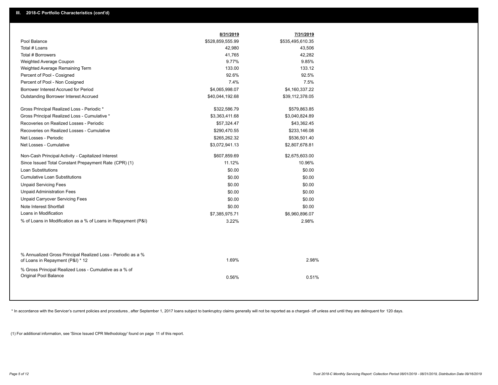|                                                                                                  | 8/31/2019        | 7/31/2019        |  |
|--------------------------------------------------------------------------------------------------|------------------|------------------|--|
| Pool Balance                                                                                     | \$528,859,555.99 | \$535,495,610.35 |  |
| Total # Loans                                                                                    | 42,980           | 43,506           |  |
| Total # Borrowers                                                                                | 41,765           | 42,282           |  |
| Weighted Average Coupon                                                                          | 9.77%            | 9.85%            |  |
| Weighted Average Remaining Term                                                                  | 133.00           | 133.12           |  |
| Percent of Pool - Cosigned                                                                       | 92.6%            | 92.5%            |  |
| Percent of Pool - Non Cosigned                                                                   | 7.4%             | 7.5%             |  |
| Borrower Interest Accrued for Period                                                             | \$4,065,998.07   | \$4,160,337.22   |  |
| Outstanding Borrower Interest Accrued                                                            | \$40,044,192.68  | \$39,112,378.05  |  |
| Gross Principal Realized Loss - Periodic *                                                       | \$322,586.79     | \$579,863.85     |  |
| Gross Principal Realized Loss - Cumulative *                                                     | \$3,363,411.68   | \$3,040,824.89   |  |
| Recoveries on Realized Losses - Periodic                                                         | \$57,324.47      | \$43,362.45      |  |
| Recoveries on Realized Losses - Cumulative                                                       | \$290,470.55     | \$233,146.08     |  |
| Net Losses - Periodic                                                                            | \$265,262.32     | \$536,501.40     |  |
| Net Losses - Cumulative                                                                          | \$3,072,941.13   | \$2,807,678.81   |  |
| Non-Cash Principal Activity - Capitalized Interest                                               | \$607,859.69     | \$2,675,603.00   |  |
| Since Issued Total Constant Prepayment Rate (CPR) (1)                                            | 11.12%           | 10.96%           |  |
| <b>Loan Substitutions</b>                                                                        | \$0.00           | \$0.00           |  |
| <b>Cumulative Loan Substitutions</b>                                                             | \$0.00           | \$0.00           |  |
| <b>Unpaid Servicing Fees</b>                                                                     | \$0.00           | \$0.00           |  |
| <b>Unpaid Administration Fees</b>                                                                | \$0.00           | \$0.00           |  |
| <b>Unpaid Carryover Servicing Fees</b>                                                           | \$0.00           | \$0.00           |  |
| Note Interest Shortfall                                                                          | \$0.00           | \$0.00           |  |
| Loans in Modification                                                                            | \$7,385,975.71   | \$6,960,896.07   |  |
| % of Loans in Modification as a % of Loans in Repayment (P&I)                                    | 3.22%            | 2.98%            |  |
|                                                                                                  |                  |                  |  |
| % Annualized Gross Principal Realized Loss - Periodic as a %<br>of Loans in Repayment (P&I) * 12 | 1.69%            | 2.98%            |  |
| % Gross Principal Realized Loss - Cumulative as a % of<br>Original Pool Balance                  | 0.56%            | 0.51%            |  |

\* In accordance with the Servicer's current policies and procedures, after September 1, 2017 loans subject to bankruptcy claims generally will not be reported as a charged- off unless and until they are delinquent for 120

(1) For additional information, see 'Since Issued CPR Methodology' found on page 11 of this report.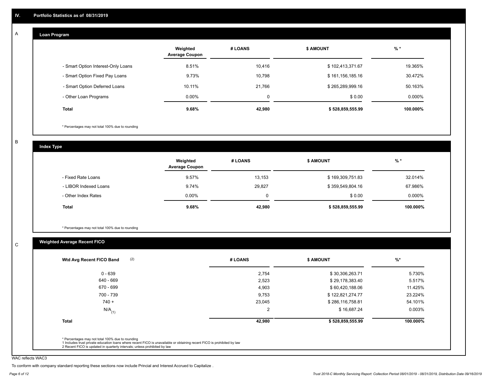#### **Loan Program**  A

|                                    | Weighted<br><b>Average Coupon</b> | # LOANS     | <b>\$ AMOUNT</b> | $%$ *     |
|------------------------------------|-----------------------------------|-------------|------------------|-----------|
| - Smart Option Interest-Only Loans | 8.51%                             | 10,416      | \$102,413,371.67 | 19.365%   |
| - Smart Option Fixed Pay Loans     | 9.73%                             | 10,798      | \$161,156,185.16 | 30.472%   |
| - Smart Option Deferred Loans      | 10.11%                            | 21.766      | \$265,289,999.16 | 50.163%   |
| - Other Loan Programs              | $0.00\%$                          | $\mathbf 0$ | \$0.00           | $0.000\%$ |
| <b>Total</b>                       | 9.68%                             | 42,980      | \$528,859,555.99 | 100.000%  |

\* Percentages may not total 100% due to rounding

B

C

**Index Type**

|                       | Weighted<br><b>Average Coupon</b> | # LOANS | <b>\$ AMOUNT</b> | $%$ *    |
|-----------------------|-----------------------------------|---------|------------------|----------|
| - Fixed Rate Loans    | 9.57%                             | 13,153  | \$169,309,751.83 | 32.014%  |
| - LIBOR Indexed Loans | 9.74%                             | 29,827  | \$359,549,804.16 | 67.986%  |
| - Other Index Rates   | $0.00\%$                          |         | \$0.00           | 0.000%   |
| <b>Total</b>          | 9.68%                             | 42,980  | \$528,859,555.99 | 100.000% |

\* Percentages may not total 100% due to rounding

### **Weighted Average Recent FICO**

| $0 - 639$            | 2,754          | \$30,306,263.71  | 5.730%   |
|----------------------|----------------|------------------|----------|
| 640 - 669            | 2,523          | \$29,178,383.40  | 5.517%   |
| 670 - 699            | 4,903          | \$60,420,188.06  | 11.425%  |
| 700 - 739            | 9,753          | \$122,821,274.77 | 23.224%  |
| $740 +$              | 23,045         | \$286,116,758.81 | 54.101%  |
| $N/A$ <sub>(1)</sub> | $\overline{2}$ | \$16,687.24      | 0.003%   |
| <b>Total</b>         | 42,980         | \$528,859,555.99 | 100.000% |

WAC reflects WAC3

To conform with company standard reporting these sections now include Princial and Interest Accrued to Capitalize .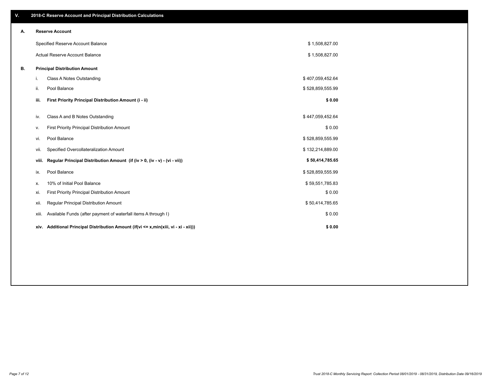| V. |       | 2018-C Reserve Account and Principal Distribution Calculations                  |                  |  |
|----|-------|---------------------------------------------------------------------------------|------------------|--|
| А. |       | <b>Reserve Account</b>                                                          |                  |  |
|    |       | Specified Reserve Account Balance                                               | \$1,508,827.00   |  |
|    |       | Actual Reserve Account Balance                                                  | \$1,508,827.00   |  |
| В. |       | <b>Principal Distribution Amount</b>                                            |                  |  |
|    | i.    | Class A Notes Outstanding                                                       | \$407,059,452.64 |  |
|    | ii.   | Pool Balance                                                                    | \$528,859,555.99 |  |
|    | iii.  | First Priority Principal Distribution Amount (i - ii)                           | \$0.00           |  |
|    | iv.   | Class A and B Notes Outstanding                                                 | \$447,059,452.64 |  |
|    | v.    | First Priority Principal Distribution Amount                                    | \$0.00           |  |
|    | vi.   | Pool Balance                                                                    | \$528,859,555.99 |  |
|    | vii.  | Specified Overcollateralization Amount                                          | \$132,214,889.00 |  |
|    | viii. | Regular Principal Distribution Amount (if (iv > 0, (iv - v) - (vi - vii))       | \$50,414,785.65  |  |
|    | ix.   | Pool Balance                                                                    | \$528,859,555.99 |  |
|    | х.    | 10% of Initial Pool Balance                                                     | \$59,551,785.83  |  |
|    | xi.   | First Priority Principal Distribution Amount                                    | \$0.00           |  |
|    | xii.  | Regular Principal Distribution Amount                                           | \$50,414,785.65  |  |
|    | xiii. | Available Funds (after payment of waterfall items A through I)                  | \$0.00           |  |
|    | xiv.  | Additional Principal Distribution Amount (if(vi <= x,min(xiii, vi - xi - xii))) | \$0.00           |  |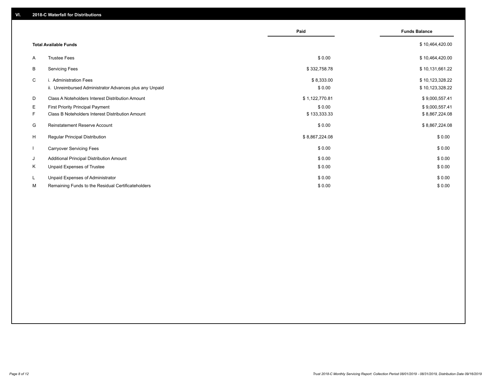|              |                                                                                   | Paid                 | <b>Funds Balance</b>               |
|--------------|-----------------------------------------------------------------------------------|----------------------|------------------------------------|
|              | <b>Total Available Funds</b>                                                      |                      | \$10,464,420.00                    |
| A            | <b>Trustee Fees</b>                                                               | \$0.00               | \$10,464,420.00                    |
| В            | <b>Servicing Fees</b>                                                             | \$332,758.78         | \$10,131,661.22                    |
| C            | i. Administration Fees<br>ii. Unreimbursed Administrator Advances plus any Unpaid | \$8,333.00<br>\$0.00 | \$10,123,328.22<br>\$10,123,328.22 |
| D            | Class A Noteholders Interest Distribution Amount                                  | \$1,122,770.81       | \$9,000,557.41                     |
| E.           | <b>First Priority Principal Payment</b>                                           | \$0.00               | \$9,000,557.41                     |
| F.           | Class B Noteholders Interest Distribution Amount                                  | \$133,333.33         | \$8,867,224.08                     |
| G            | Reinstatement Reserve Account                                                     | \$0.00               | \$8,867,224.08                     |
| H            | Regular Principal Distribution                                                    | \$8,867,224.08       | \$0.00                             |
| $\mathbf{I}$ | <b>Carryover Servicing Fees</b>                                                   | \$0.00               | \$0.00                             |
| J            | Additional Principal Distribution Amount                                          | \$0.00               | \$0.00                             |
| Κ            | Unpaid Expenses of Trustee                                                        | \$0.00               | \$0.00                             |
| L            | Unpaid Expenses of Administrator                                                  | \$0.00               | \$0.00                             |
| М            | Remaining Funds to the Residual Certificateholders                                | \$0.00               | \$0.00                             |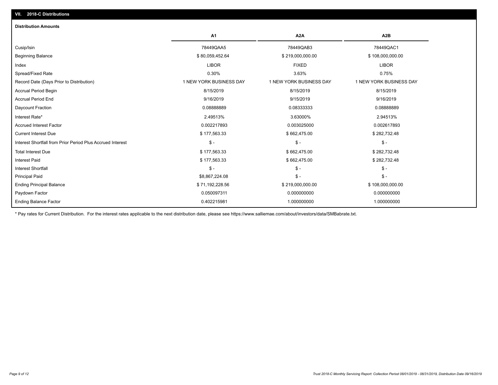| <b>Distribution Amounts</b>                                |                         |                         |                         |
|------------------------------------------------------------|-------------------------|-------------------------|-------------------------|
|                                                            | A <sub>1</sub>          | A <sub>2</sub> A        | A2B                     |
| Cusip/Isin                                                 | 78449QAA5               | 78449QAB3               | 78449QAC1               |
| <b>Beginning Balance</b>                                   | \$80,059,452.64         | \$219,000,000.00        | \$108,000,000.00        |
| Index                                                      | <b>LIBOR</b>            | <b>FIXED</b>            | <b>LIBOR</b>            |
| Spread/Fixed Rate                                          | 0.30%                   | 3.63%                   | 0.75%                   |
| Record Date (Days Prior to Distribution)                   | 1 NEW YORK BUSINESS DAY | 1 NEW YORK BUSINESS DAY | 1 NEW YORK BUSINESS DAY |
| <b>Accrual Period Begin</b>                                | 8/15/2019               | 8/15/2019               | 8/15/2019               |
| <b>Accrual Period End</b>                                  | 9/16/2019               | 9/15/2019               | 9/16/2019               |
| Daycount Fraction                                          | 0.08888889              | 0.08333333              | 0.08888889              |
| Interest Rate*                                             | 2.49513%                | 3.63000%                | 2.94513%                |
| <b>Accrued Interest Factor</b>                             | 0.002217893             | 0.003025000             | 0.002617893             |
| <b>Current Interest Due</b>                                | \$177,563.33            | \$662,475.00            | \$282,732.48            |
| Interest Shortfall from Prior Period Plus Accrued Interest | $\mathsf{\$}$ -         | $\mathsf{\$}$ -         | $\mathsf{\$}$ -         |
| <b>Total Interest Due</b>                                  | \$177,563.33            | \$662,475.00            | \$282,732.48            |
| <b>Interest Paid</b>                                       | \$177,563.33            | \$662,475.00            | \$282,732.48            |
| <b>Interest Shortfall</b>                                  | $\mathsf{\$}$ -         | $$ -$                   | $\mathsf{\$}$ -         |
| <b>Principal Paid</b>                                      | \$8,867,224.08          | $$ -$                   | $\mathsf{\$}$ -         |
| <b>Ending Principal Balance</b>                            | \$71,192,228.56         | \$219,000,000.00        | \$108,000,000.00        |
| Paydown Factor                                             | 0.050097311             | 0.000000000             | 0.000000000             |
| <b>Ending Balance Factor</b>                               | 0.402215981             | 1.000000000             | 1.000000000             |

\* Pay rates for Current Distribution. For the interest rates applicable to the next distribution date, please see https://www.salliemae.com/about/investors/data/SMBabrate.txt.

**VII. 2018-C Distributions**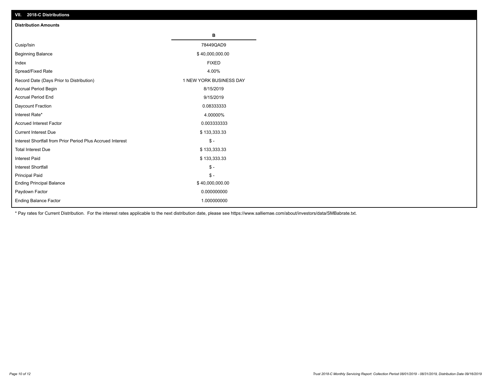| VII. 2018-C Distributions                                  |                         |
|------------------------------------------------------------|-------------------------|
| <b>Distribution Amounts</b>                                |                         |
|                                                            | В                       |
| Cusip/Isin                                                 | 78449QAD9               |
| <b>Beginning Balance</b>                                   | \$40,000,000.00         |
| Index                                                      | <b>FIXED</b>            |
| Spread/Fixed Rate                                          | 4.00%                   |
| Record Date (Days Prior to Distribution)                   | 1 NEW YORK BUSINESS DAY |
| Accrual Period Begin                                       | 8/15/2019               |
| <b>Accrual Period End</b>                                  | 9/15/2019               |
| Daycount Fraction                                          | 0.08333333              |
| Interest Rate*                                             | 4.00000%                |
| <b>Accrued Interest Factor</b>                             | 0.003333333             |
| <b>Current Interest Due</b>                                | \$133,333.33            |
| Interest Shortfall from Prior Period Plus Accrued Interest | $$ -$                   |
| <b>Total Interest Due</b>                                  | \$133,333.33            |
| <b>Interest Paid</b>                                       | \$133,333.33            |
| Interest Shortfall                                         | $\$ -                   |
| <b>Principal Paid</b>                                      | $$ -$                   |
| <b>Ending Principal Balance</b>                            | \$40,000,000.00         |
| Paydown Factor                                             | 0.000000000             |
| <b>Ending Balance Factor</b>                               | 1.000000000             |

\* Pay rates for Current Distribution. For the interest rates applicable to the next distribution date, please see https://www.salliemae.com/about/investors/data/SMBabrate.txt.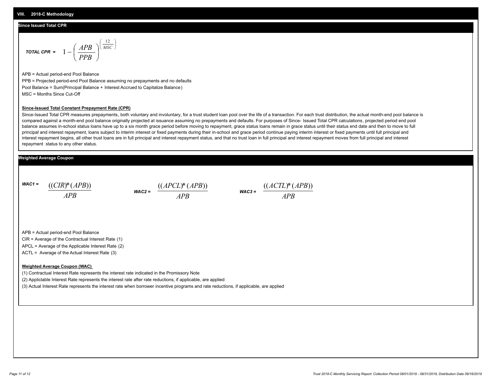#### **Since Issued Total CPR**

$$
\text{total CPR} = 1 - \left(\frac{APB}{PPB}\right)^{\left(\frac{12}{MSC}\right)}
$$

APB = Actual period-end Pool Balance PPB = Projected period-end Pool Balance assuming no prepayments and no defaults Pool Balance = Sum(Principal Balance + Interest Accrued to Capitalize Balance) MSC = Months Since Cut-Off

#### **Since-Issued Total Constant Prepayment Rate (CPR)**

Since-Issued Total CPR measures prepayments, both voluntary and involuntary, for a trust student loan pool over the life of a transaction. For each trust distribution, the actual month-end pool balance is compared against a month-end pool balance originally projected at issuance assuming no prepayments and defaults. For purposes of Since- Issued Total CPR calculations, projected period end pool balance assumes in-school status loans have up to a six month grace period before moving to repayment, grace status loans remain in grace status until their status end date and then to move to full principal and interest repayment, loans subject to interim interest or fixed payments during their in-school and grace period continue paying interim interest or fixed payments until full principal and interest repayment begins, all other trust loans are in full principal and interest repayment status, and that no trust loan in full principal and interest repayment moves from full principal and interest repayment status to any other status.

#### **Weighted Average Coupon**

*WAC1 = APB* ((*CIR*)\*(*APB*))

*WAC2 = APB*  $\frac{((APCL)^{*}(APB))}{APB}$  wac<sub>3</sub> =  $\frac{((ACTL)^{*}(A)P}{APB}$ 



APB = Actual period-end Pool Balance

CIR = Average of the Contractual Interest Rate (1)

APCL = Average of the Applicable Interest Rate (2)

ACTL = Average of the Actual Interest Rate (3)

#### **Weighted Average Coupon (WAC)**

(1) Contractual Interest Rate represents the interest rate indicated in the Promissory Note

(2) Appliclable Interest Rate represents the interest rate after rate reductions, if applicable, are applied

(3) Actual Interest Rate represents the interest rate when borrower incentive programs and rate reductions, if applicable, are applied